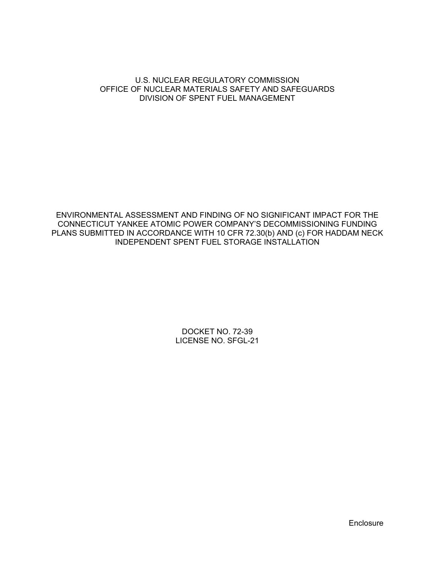#### U.S. NUCLEAR REGULATORY COMMISSION OFFICE OF NUCLEAR MATERIALS SAFETY AND SAFEGUARDS DIVISION OF SPENT FUEL MANAGEMENT

ENVIRONMENTAL ASSESSMENT AND FINDING OF NO SIGNIFICANT IMPACT FOR THE CONNECTICUT YANKEE ATOMIC POWER COMPANY'S DECOMMISSIONING FUNDING PLANS SUBMITTED IN ACCORDANCE WITH 10 CFR 72.30(b) AND (c) FOR HADDAM NECK INDEPENDENT SPENT FUEL STORAGE INSTALLATION

> DOCKET NO. 72-39 LICENSE NO. SFGL-21

> > Enclosure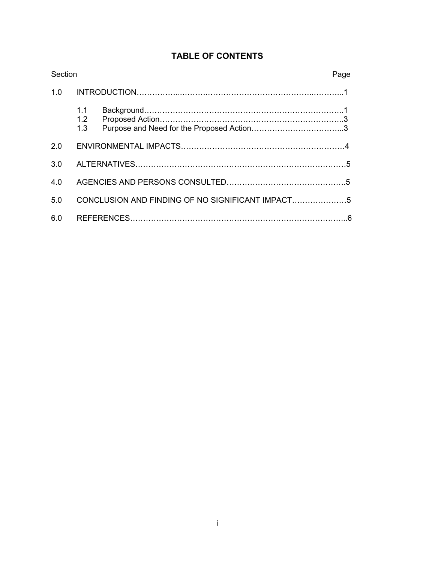| Section |                                                  |  | Page |
|---------|--------------------------------------------------|--|------|
| 1.0     |                                                  |  |      |
|         | 1.1<br>1.2<br>1.3                                |  |      |
| 2.0     |                                                  |  |      |
| 3.0     |                                                  |  |      |
| 4.0     |                                                  |  |      |
| 5.0     | CONCLUSION AND FINDING OF NO SIGNIFICANT IMPACT5 |  |      |
| 6.0     |                                                  |  |      |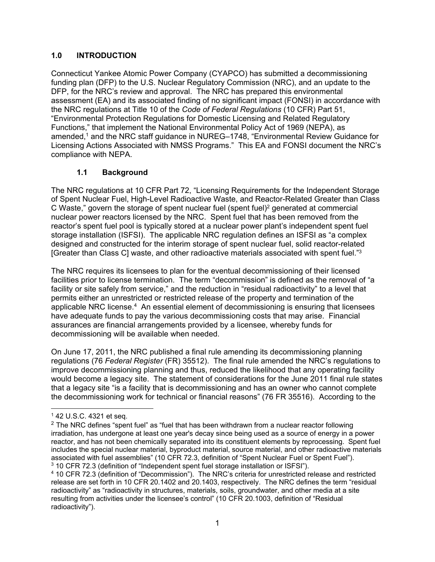# **1.0 INTRODUCTION**

Connecticut Yankee Atomic Power Company (CYAPCO) has submitted a decommissioning funding plan (DFP) to the U.S. Nuclear Regulatory Commission (NRC), and an update to the DFP, for the NRC's review and approval. The NRC has prepared this environmental assessment (EA) and its associated finding of no significant impact (FONSI) in accordance with the NRC regulations at Title 10 of the *Code of Federal Regulations* (10 CFR) Part 51, "Environmental Protection Regulations for Domestic Licensing and Related Regulatory Functions," that implement the National Environmental Policy Act of 1969 (NEPA), as amended,1 and the NRC staff guidance in NUREG–1748, "Environmental Review Guidance for Licensing Actions Associated with NMSS Programs." This EA and FONSI document the NRC's compliance with NEPA.

# **1.1 Background**

The NRC regulations at 10 CFR Part 72, "Licensing Requirements for the Independent Storage of Spent Nuclear Fuel, High-Level Radioactive Waste, and Reactor-Related Greater than Class C Waste," govern the storage of spent nuclear fuel (spent fuel)<sup>2</sup> generated at commercial nuclear power reactors licensed by the NRC. Spent fuel that has been removed from the reactor's spent fuel pool is typically stored at a nuclear power plant's independent spent fuel storage installation (ISFSI). The applicable NRC regulation defines an ISFSI as "a complex designed and constructed for the interim storage of spent nuclear fuel, solid reactor-related [Greater than Class C] waste, and other radioactive materials associated with spent fuel."3

The NRC requires its licensees to plan for the eventual decommissioning of their licensed facilities prior to license termination. The term "decommission" is defined as the removal of "a facility or site safely from service," and the reduction in "residual radioactivity" to a level that permits either an unrestricted or restricted release of the property and termination of the applicable NRC license.<sup>4</sup> An essential element of decommissioning is ensuring that licensees have adequate funds to pay the various decommissioning costs that may arise. Financial assurances are financial arrangements provided by a licensee, whereby funds for decommissioning will be available when needed.

On June 17, 2011, the NRC published a final rule amending its decommissioning planning regulations (76 *Federal Register* (FR) 35512). The final rule amended the NRC's regulations to improve decommissioning planning and thus, reduced the likelihood that any operating facility would become a legacy site. The statement of considerations for the June 2011 final rule states that a legacy site "is a facility that is decommissioning and has an owner who cannot complete the decommissioning work for technical or financial reasons" (76 FR 35516). According to the

 $\overline{a}$ 

 $142$  U.S.C. 4321 et seq.

 $2$  The NRC defines "spent fuel" as "fuel that has been withdrawn from a nuclear reactor following irradiation, has undergone at least one year's decay since being used as a source of energy in a power reactor, and has not been chemically separated into its constituent elements by reprocessing. Spent fuel includes the special nuclear material, byproduct material, source material, and other radioactive materials associated with fuel assemblies" (10 CFR 72.3, definition of "Spent Nuclear Fuel or Spent Fuel"). 3 10 CFR 72.3 (definition of "Independent spent fuel storage installation or ISFSI").

<sup>4 10</sup> CFR 72.3 (definition of "Decommission"). The NRC's criteria for unrestricted release and restricted release are set forth in 10 CFR 20.1402 and 20.1403, respectively. The NRC defines the term "residual radioactivity" as "radioactivity in structures, materials, soils, groundwater, and other media at a site resulting from activities under the licensee's control" (10 CFR 20.1003, definition of "Residual radioactivity").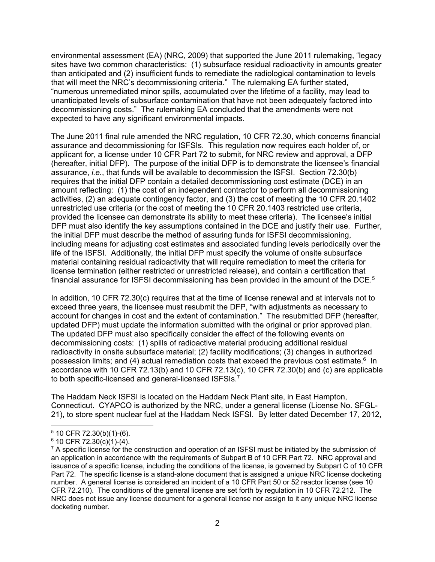environmental assessment (EA) (NRC, 2009) that supported the June 2011 rulemaking, "legacy sites have two common characteristics: (1) subsurface residual radioactivity in amounts greater than anticipated and (2) insufficient funds to remediate the radiological contamination to levels that will meet the NRC's decommissioning criteria." The rulemaking EA further stated, "numerous unremediated minor spills, accumulated over the lifetime of a facility, may lead to unanticipated levels of subsurface contamination that have not been adequately factored into decommissioning costs." The rulemaking EA concluded that the amendments were not expected to have any significant environmental impacts.

The June 2011 final rule amended the NRC regulation, 10 CFR 72.30, which concerns financial assurance and decommissioning for ISFSIs. This regulation now requires each holder of, or applicant for, a license under 10 CFR Part 72 to submit, for NRC review and approval, a DFP (hereafter, initial DFP). The purpose of the initial DFP is to demonstrate the licensee's financial assurance, *i.e.*, that funds will be available to decommission the ISFSI. Section 72.30(b) requires that the initial DFP contain a detailed decommissioning cost estimate (DCE) in an amount reflecting: (1) the cost of an independent contractor to perform all decommissioning activities, (2) an adequate contingency factor, and (3) the cost of meeting the 10 CFR 20.1402 unrestricted use criteria (or the cost of meeting the 10 CFR 20.1403 restricted use criteria, provided the licensee can demonstrate its ability to meet these criteria). The licensee's initial DFP must also identify the key assumptions contained in the DCE and justify their use. Further, the initial DFP must describe the method of assuring funds for ISFSI decommissioning, including means for adjusting cost estimates and associated funding levels periodically over the life of the ISFSI. Additionally, the initial DFP must specify the volume of onsite subsurface material containing residual radioactivity that will require remediation to meet the criteria for license termination (either restricted or unrestricted release), and contain a certification that financial assurance for ISFSI decommissioning has been provided in the amount of the DCE.<sup>5</sup>

In addition, 10 CFR 72.30(c) requires that at the time of license renewal and at intervals not to exceed three years, the licensee must resubmit the DFP, "with adjustments as necessary to account for changes in cost and the extent of contamination." The resubmitted DFP (hereafter, updated DFP) must update the information submitted with the original or prior approved plan. The updated DFP must also specifically consider the effect of the following events on decommissioning costs: (1) spills of radioactive material producing additional residual radioactivity in onsite subsurface material; (2) facility modifications; (3) changes in authorized possession limits; and (4) actual remediation costs that exceed the previous cost estimate.<sup>6</sup> In accordance with 10 CFR 72.13(b) and 10 CFR 72.13(c), 10 CFR 72.30(b) and (c) are applicable to both specific-licensed and general-licensed ISFSIs.7

The Haddam Neck ISFSI is located on the Haddam Neck Plant site, in East Hampton, Connecticut. CYAPCO is authorized by the NRC, under a general license (License No. SFGL-21), to store spent nuclear fuel at the Haddam Neck ISFSI. By letter dated December 17, 2012,

<sup>-</sup> $5$  10 CFR 72.30(b)(1)-(6).

 $6$  10 CFR 72.30(c)(1)-(4).

 $7$  A specific license for the construction and operation of an ISFSI must be initiated by the submission of an application in accordance with the requirements of Subpart B of 10 CFR Part 72. NRC approval and issuance of a specific license, including the conditions of the license, is governed by Subpart C of 10 CFR Part 72. The specific license is a stand-alone document that is assigned a unique NRC license docketing number. A general license is considered an incident of a 10 CFR Part 50 or 52 reactor license (see 10 CFR 72.210). The conditions of the general license are set forth by regulation in 10 CFR 72.212. The NRC does not issue any license document for a general license nor assign to it any unique NRC license docketing number.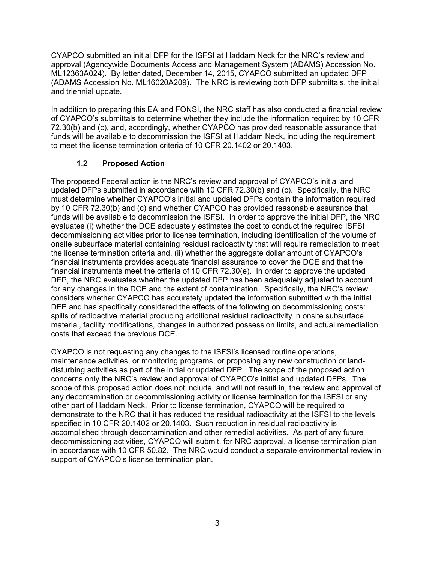CYAPCO submitted an initial DFP for the ISFSI at Haddam Neck for the NRC's review and approval (Agencywide Documents Access and Management System (ADAMS) Accession No. ML12363A024). By letter dated, December 14, 2015, CYAPCO submitted an updated DFP (ADAMS Accession No. ML16020A209). The NRC is reviewing both DFP submittals, the initial and triennial update.

In addition to preparing this EA and FONSI, the NRC staff has also conducted a financial review of CYAPCO's submittals to determine whether they include the information required by 10 CFR 72.30(b) and (c), and, accordingly, whether CYAPCO has provided reasonable assurance that funds will be available to decommission the ISFSI at Haddam Neck, including the requirement to meet the license termination criteria of 10 CFR 20.1402 or 20.1403.

# **1.2 Proposed Action**

The proposed Federal action is the NRC's review and approval of CYAPCO's initial and updated DFPs submitted in accordance with 10 CFR 72.30(b) and (c). Specifically, the NRC must determine whether CYAPCO's initial and updated DFPs contain the information required by 10 CFR 72.30(b) and (c) and whether CYAPCO has provided reasonable assurance that funds will be available to decommission the ISFSI. In order to approve the initial DFP, the NRC evaluates (i) whether the DCE adequately estimates the cost to conduct the required ISFSI decommissioning activities prior to license termination, including identification of the volume of onsite subsurface material containing residual radioactivity that will require remediation to meet the license termination criteria and, (ii) whether the aggregate dollar amount of CYAPCO's financial instruments provides adequate financial assurance to cover the DCE and that the financial instruments meet the criteria of 10 CFR 72.30(e). In order to approve the updated DFP, the NRC evaluates whether the updated DFP has been adequately adjusted to account for any changes in the DCE and the extent of contamination. Specifically, the NRC's review considers whether CYAPCO has accurately updated the information submitted with the initial DFP and has specifically considered the effects of the following on decommissioning costs: spills of radioactive material producing additional residual radioactivity in onsite subsurface material, facility modifications, changes in authorized possession limits, and actual remediation costs that exceed the previous DCE.

CYAPCO is not requesting any changes to the ISFSI's licensed routine operations, maintenance activities, or monitoring programs, or proposing any new construction or landdisturbing activities as part of the initial or updated DFP. The scope of the proposed action concerns only the NRC's review and approval of CYAPCO's initial and updated DFPs. The scope of this proposed action does not include, and will not result in, the review and approval of any decontamination or decommissioning activity or license termination for the ISFSI or any other part of Haddam Neck. Prior to license termination, CYAPCO will be required to demonstrate to the NRC that it has reduced the residual radioactivity at the ISFSI to the levels specified in 10 CFR 20.1402 or 20.1403. Such reduction in residual radioactivity is accomplished through decontamination and other remedial activities. As part of any future decommissioning activities, CYAPCO will submit, for NRC approval, a license termination plan in accordance with 10 CFR 50.82. The NRC would conduct a separate environmental review in support of CYAPCO's license termination plan.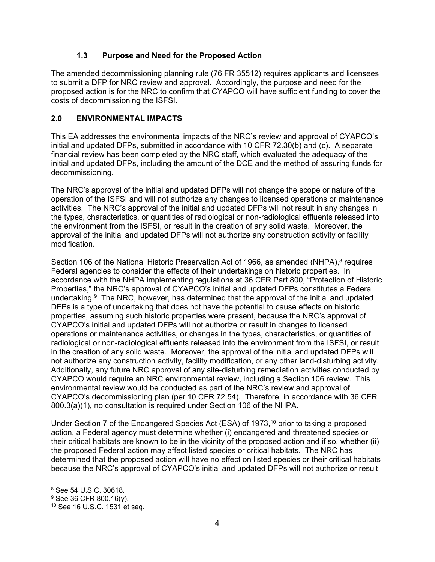# **1.3 Purpose and Need for the Proposed Action**

The amended decommissioning planning rule (76 FR 35512) requires applicants and licensees to submit a DFP for NRC review and approval. Accordingly, the purpose and need for the proposed action is for the NRC to confirm that CYAPCO will have sufficient funding to cover the costs of decommissioning the ISFSI.

### **2.0 ENVIRONMENTAL IMPACTS**

This EA addresses the environmental impacts of the NRC's review and approval of CYAPCO's initial and updated DFPs, submitted in accordance with 10 CFR 72.30(b) and (c). A separate financial review has been completed by the NRC staff, which evaluated the adequacy of the initial and updated DFPs, including the amount of the DCE and the method of assuring funds for decommissioning.

The NRC's approval of the initial and updated DFPs will not change the scope or nature of the operation of the ISFSI and will not authorize any changes to licensed operations or maintenance activities. The NRC's approval of the initial and updated DFPs will not result in any changes in the types, characteristics, or quantities of radiological or non-radiological effluents released into the environment from the ISFSI, or result in the creation of any solid waste. Moreover, the approval of the initial and updated DFPs will not authorize any construction activity or facility modification.

Section 106 of the National Historic Preservation Act of 1966, as amended (NHPA),<sup>8</sup> requires Federal agencies to consider the effects of their undertakings on historic properties. In accordance with the NHPA implementing regulations at 36 CFR Part 800, "Protection of Historic Properties," the NRC's approval of CYAPCO's initial and updated DFPs constitutes a Federal undertaking. $9$  The NRC, however, has determined that the approval of the initial and updated DFPs is a type of undertaking that does not have the potential to cause effects on historic properties, assuming such historic properties were present, because the NRC's approval of CYAPCO's initial and updated DFPs will not authorize or result in changes to licensed operations or maintenance activities, or changes in the types, characteristics, or quantities of radiological or non-radiological effluents released into the environment from the ISFSI, or result in the creation of any solid waste. Moreover, the approval of the initial and updated DFPs will not authorize any construction activity, facility modification, or any other land-disturbing activity. Additionally, any future NRC approval of any site-disturbing remediation activities conducted by CYAPCO would require an NRC environmental review, including a Section 106 review. This environmental review would be conducted as part of the NRC's review and approval of CYAPCO's decommissioning plan (per 10 CFR 72.54). Therefore, in accordance with 36 CFR 800.3(a)(1), no consultation is required under Section 106 of the NHPA.

Under Section 7 of the Endangered Species Act (ESA) of 1973,<sup>10</sup> prior to taking a proposed action, a Federal agency must determine whether (i) endangered and threatened species or their critical habitats are known to be in the vicinity of the proposed action and if so, whether (ii) the proposed Federal action may affect listed species or critical habitats. The NRC has determined that the proposed action will have no effect on listed species or their critical habitats because the NRC's approval of CYAPCO's initial and updated DFPs will not authorize or result

 $\overline{a}$ 8 See 54 U.S.C. 30618.

<sup>9</sup> See 36 CFR 800.16(y).

<sup>10</sup> See 16 U.S.C. 1531 et seq.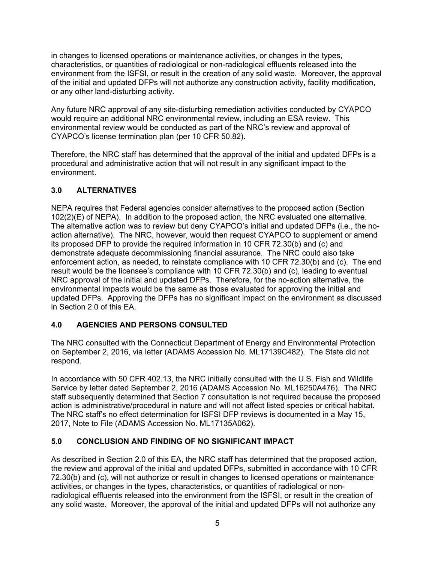in changes to licensed operations or maintenance activities, or changes in the types, characteristics, or quantities of radiological or non-radiological effluents released into the environment from the ISFSI, or result in the creation of any solid waste. Moreover, the approval of the initial and updated DFPs will not authorize any construction activity, facility modification, or any other land-disturbing activity.

Any future NRC approval of any site-disturbing remediation activities conducted by CYAPCO would require an additional NRC environmental review, including an ESA review. This environmental review would be conducted as part of the NRC's review and approval of CYAPCO's license termination plan (per 10 CFR 50.82).

Therefore, the NRC staff has determined that the approval of the initial and updated DFPs is a procedural and administrative action that will not result in any significant impact to the environment.

# **3.0 ALTERNATIVES**

NEPA requires that Federal agencies consider alternatives to the proposed action (Section 102(2)(E) of NEPA). In addition to the proposed action, the NRC evaluated one alternative. The alternative action was to review but deny CYAPCO's initial and updated DFPs (i.e., the noaction alternative). The NRC, however, would then request CYAPCO to supplement or amend its proposed DFP to provide the required information in 10 CFR 72.30(b) and (c) and demonstrate adequate decommissioning financial assurance. The NRC could also take enforcement action, as needed, to reinstate compliance with 10 CFR 72.30(b) and (c). The end result would be the licensee's compliance with 10 CFR 72.30(b) and (c), leading to eventual NRC approval of the initial and updated DFPs. Therefore, for the no-action alternative, the environmental impacts would be the same as those evaluated for approving the initial and updated DFPs. Approving the DFPs has no significant impact on the environment as discussed in Section 2.0 of this EA.

# **4.0 AGENCIES AND PERSONS CONSULTED**

The NRC consulted with the Connecticut Department of Energy and Environmental Protection on September 2, 2016, via letter (ADAMS Accession No. ML17139C482). The State did not respond.

In accordance with 50 CFR 402.13, the NRC initially consulted with the U.S. Fish and Wildlife Service by letter dated September 2, 2016 (ADAMS Accession No. ML16250A476). The NRC staff subsequently determined that Section 7 consultation is not required because the proposed action is administrative/procedural in nature and will not affect listed species or critical habitat. The NRC staff's no effect determination for ISFSI DFP reviews is documented in a May 15, 2017, Note to File (ADAMS Accession No. ML17135A062).

# **5.0 CONCLUSION AND FINDING OF NO SIGNIFICANT IMPACT**

As described in Section 2.0 of this EA, the NRC staff has determined that the proposed action, the review and approval of the initial and updated DFPs, submitted in accordance with 10 CFR 72.30(b) and (c), will not authorize or result in changes to licensed operations or maintenance activities, or changes in the types, characteristics, or quantities of radiological or nonradiological effluents released into the environment from the ISFSI, or result in the creation of any solid waste. Moreover, the approval of the initial and updated DFPs will not authorize any